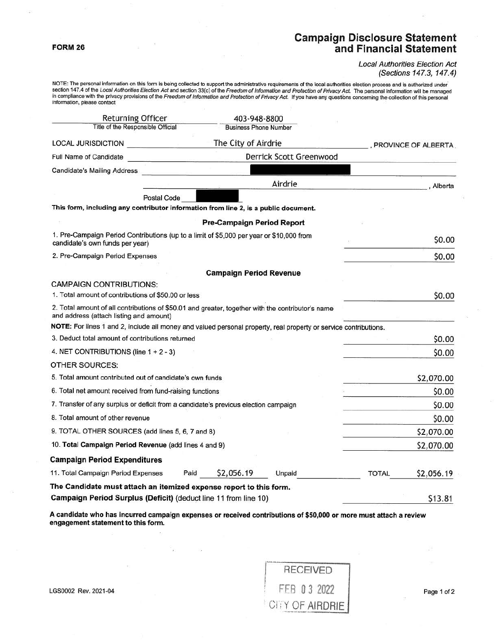## **FORM 26**

## **Campaign Disclosure Statement and Financial Statement**

Local Authorities Election Act (Sections 147.3, 147.4)

NOTE: The personal information on this form is being collected to support the administrative requirements of the local authorities election process and is authorized under<br>section 147.4 of the Lo*cal Authorities Election A* 

| <b>Returning Officer</b><br>403-948-8800                                                                                                     |                                |         |                     |  |  |  |
|----------------------------------------------------------------------------------------------------------------------------------------------|--------------------------------|---------|---------------------|--|--|--|
| Title of the Responsible Official                                                                                                            | <b>Business Phone Number</b>   |         |                     |  |  |  |
| <b>LOCAL JURISDICTION</b>                                                                                                                    | The City of Airdrie            |         |                     |  |  |  |
| <b>Full Name of Candidate</b>                                                                                                                | Derrick Scott Greenwood        |         |                     |  |  |  |
| Candidate's Mailing Address                                                                                                                  |                                |         |                     |  |  |  |
|                                                                                                                                              |                                | Airdrie | . Alberta           |  |  |  |
| <b>Postal Code</b>                                                                                                                           |                                |         |                     |  |  |  |
| This form, including any contributor information from line 2, is a public document.                                                          |                                |         |                     |  |  |  |
|                                                                                                                                              | Pre-Campaign Period Report     |         |                     |  |  |  |
| 1. Pre-Campaign Period Contributions (up to a limit of \$5,000 per year or \$10,000 from<br>candidate's own funds per year)                  |                                |         | \$0.00              |  |  |  |
| 2. Pre-Campaign Period Expenses                                                                                                              |                                |         | \$0.00              |  |  |  |
|                                                                                                                                              | <b>Campaign Period Revenue</b> |         |                     |  |  |  |
| <b>CAMPAIGN CONTRIBUTIONS:</b>                                                                                                               |                                |         |                     |  |  |  |
| 1. Total amount of contributions of \$50.00 or less                                                                                          |                                |         | \$0.00              |  |  |  |
| 2. Total amount of all contributions of \$50.01 and greater, together with the contributor's name<br>and address (attach listing and amount) |                                |         |                     |  |  |  |
| NOTE: For lines 1 and 2, include all money and valued personal property, real property or service contributions.                             |                                |         |                     |  |  |  |
| 3. Deduct total amount of contributions returned                                                                                             |                                |         | \$0.00              |  |  |  |
| 4. NET CONTRIBUTIONS (line 1 + 2 - 3)                                                                                                        |                                |         | \$0.00              |  |  |  |
| OTHER SOURCES:                                                                                                                               |                                |         |                     |  |  |  |
| 5. Total amount contributed out of candidate's own funds                                                                                     |                                |         | \$2,070.00          |  |  |  |
| 6. Total net amount received from fund-raising functions                                                                                     |                                |         | \$0.00              |  |  |  |
| 7. Transfer of any surplus or deficit from a candidate's previous election campaign                                                          |                                |         | \$0.00              |  |  |  |
| 8. Total amount of other revenue                                                                                                             |                                |         | \$0.00              |  |  |  |
| 9. TOTAL OTHER SOURCES (add lines 5, 6, 7 and 8)                                                                                             |                                |         | \$2,070.00          |  |  |  |
| 10. Total Campaign Period Revenue (add lines 4 and 9)                                                                                        |                                |         | \$2,070.00          |  |  |  |
| <b>Campaign Period Expenditures</b>                                                                                                          |                                |         |                     |  |  |  |
| 11. Total Campaign Period Expenses                                                                                                           | Paid<br>\$2,056.19             | Unpaid  | TOTAL<br>\$2,056.19 |  |  |  |
| The Candidate must attach an itemized expense report to this form.                                                                           |                                |         |                     |  |  |  |
| Campaign Period Surplus (Deficit) (deduct line 11 from line 10)                                                                              |                                |         | \$13.81             |  |  |  |

**A candidate who has incurred campaign expenses or received contributions of \$50,000 or more must attach a review engagement statement to this form.** 

| <b>RECEIVED</b> |
|-----------------|
| FEB 03 2022     |
| CITY OF AIRDRIE |

LGS0002 Rev. 2021-04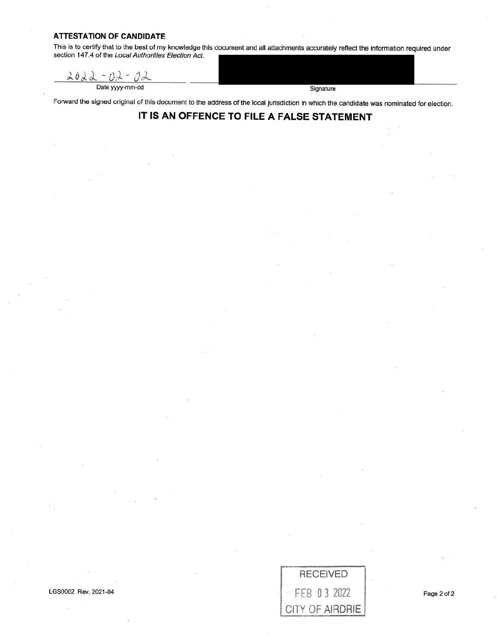## **ATTESTATION OF CANDIDATE**

This is to certify that to the best of my knowledge this document and all attachments accurately reflect the information required under section 147.4 of the Local Authorities Election Act.

2022  $-02 -$ Date yyyy-mm-dd Signature

Forward the signed original of this documenf to the address of the local Jurisdiction in which the candidate was nominated for election.

## **IT IS AN OFFENCE TO FILE A FALSE STATEMENT**

LGS0002 Rev. 2021-04

Page 2 of 2